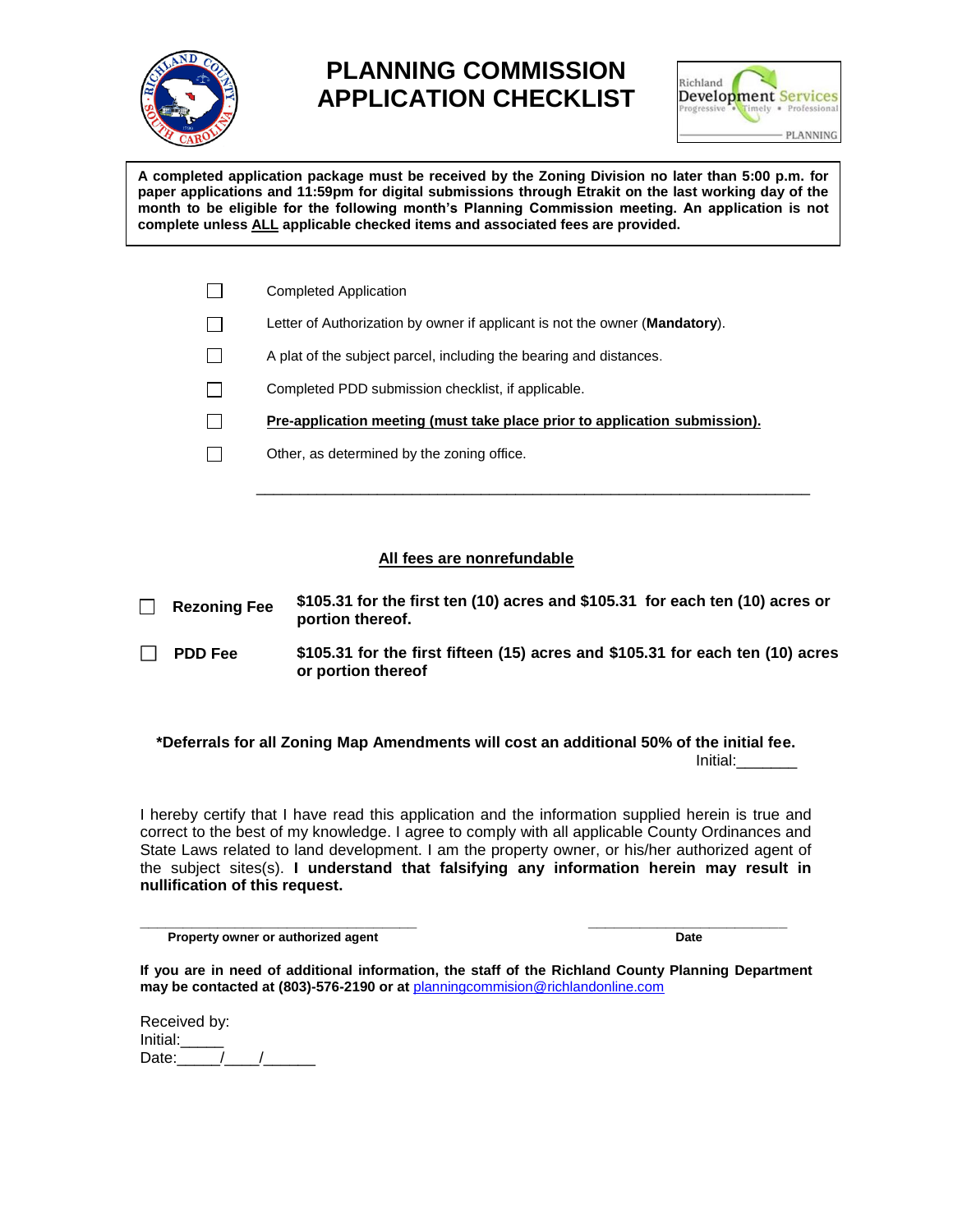

## **PLANNING COMMISSION APPLICATION CHECKLIST**



**A completed application package must be received by the Zoning Division no later than 5:00 p.m. for paper applications and 11:59pm for digital submissions through Etrakit on the last working day of the month to be eligible for the following month's Planning Commission meeting. An application is not complete unless ALL applicable checked items and associated fees are provided.**

| <b>Completed Application</b>                                                         |
|--------------------------------------------------------------------------------------|
| Letter of Authorization by owner if applicant is not the owner ( <b>Mandatory</b> ). |
| A plat of the subject parcel, including the bearing and distances.                   |
| Completed PDD submission checklist, if applicable.                                   |
| Pre-application meeting (must take place prior to application submission).           |
| Other, as determined by the zoning office.                                           |

## **All fees are nonrefundable**

\_\_\_\_\_\_\_\_\_\_\_\_\_\_\_\_\_\_\_\_\_\_\_\_\_\_\_\_\_\_\_\_\_\_\_\_\_\_\_\_\_\_\_\_\_\_\_\_\_\_\_\_\_\_\_\_\_\_\_\_\_\_\_\_

| $\Box$  | <b>Rezoning Fee</b> | \$105.31 for the first ten (10) acres and \$105.31 for each ten (10) acres or<br>portion thereof.    |
|---------|---------------------|------------------------------------------------------------------------------------------------------|
| $\perp$ | <b>PDD Fee</b>      | \$105.31 for the first fifteen (15) acres and \$105.31 for each ten (10) acres<br>or portion thereof |

## **\*Deferrals for all Zoning Map Amendments will cost an additional 50% of the initial fee.** Initial:\_\_\_\_\_\_\_

I hereby certify that I have read this application and the information supplied herein is true and correct to the best of my knowledge. I agree to comply with all applicable County Ordinances and State Laws related to land development. I am the property owner, or his/her authorized agent of the subject sites(s). **I understand that falsifying any information herein may result in nullification of this request.**

**\_\_\_\_\_\_\_\_\_\_\_\_\_\_\_\_\_\_\_\_\_\_\_\_\_\_\_\_\_\_\_\_ \_\_\_\_\_\_\_\_\_\_\_\_\_\_\_\_\_\_\_\_\_\_\_ Property owner or authorized agent Date** Date Date

**If you are in need of additional information, the staff of the Richland County Planning Department may be contacted at (803)-576-2190 or at** [planningcommision@richlandonline.com](mailto:planningcommision@richlandonline.com)

| Received by: |  |
|--------------|--|
| Initial:     |  |
| Date:        |  |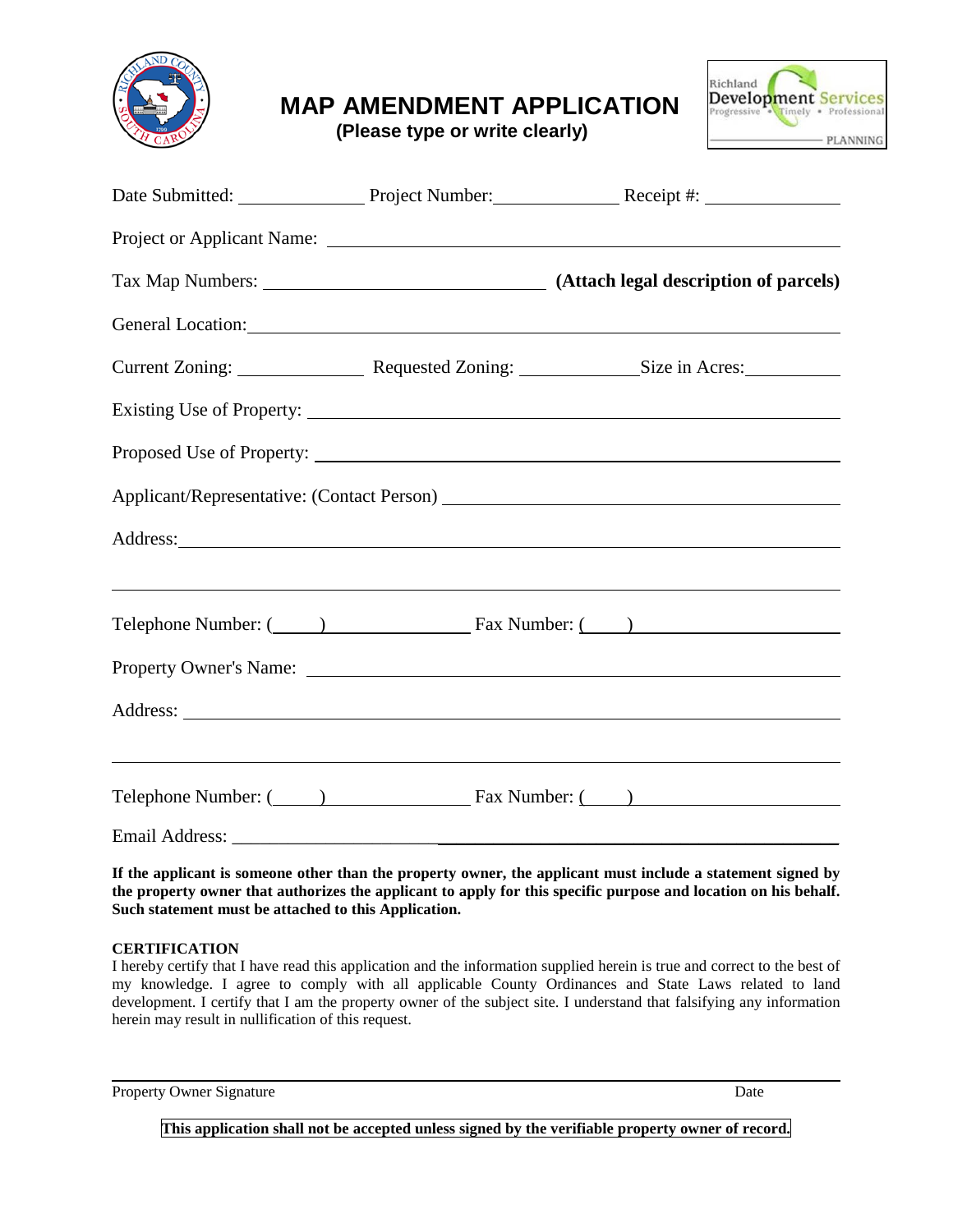

**MAP AMENDMENT APPLICATION**

**(Please type or write clearly)**



|  | Date Submitted: Project Number: Receipt #:                                                                                                                                                                                                                                                                                                              |
|--|---------------------------------------------------------------------------------------------------------------------------------------------------------------------------------------------------------------------------------------------------------------------------------------------------------------------------------------------------------|
|  |                                                                                                                                                                                                                                                                                                                                                         |
|  |                                                                                                                                                                                                                                                                                                                                                         |
|  | General Location: New York Contract Contract Contract Contract Contract Contract Contract Contract Contract Contract Contract Contract Contract Contract Contract Contract Contract Contract Contract Contract Contract Contra                                                                                                                          |
|  | Current Zoning: Requested Zoning: Size in Acres:                                                                                                                                                                                                                                                                                                        |
|  |                                                                                                                                                                                                                                                                                                                                                         |
|  |                                                                                                                                                                                                                                                                                                                                                         |
|  |                                                                                                                                                                                                                                                                                                                                                         |
|  | Address: <u>and the second contract of the second contract of the second contract of the second contract of the second contract of the second contract of the second contract of the second contract of the second contract of t</u>                                                                                                                    |
|  | Telephone Number: (Champion Communication Case Number: (Champion Communication Communication Communication Communication Communication Communication Communication Communication Communication Communication Communication Com                                                                                                                          |
|  |                                                                                                                                                                                                                                                                                                                                                         |
|  |                                                                                                                                                                                                                                                                                                                                                         |
|  | <u> 1989 - Johann Stoff, deutscher Stoffen und der Stoffen und der Stoffen und der Stoffen und der Stoffen und de</u><br>Telephone Number: (2002) [19] Fax Number: (2003) [20] Fax Number: (2004) [20] Case Number: (2004) [20] Case Number: (2004) [20] Case Number: (2004) [20] Case Number: (2004) [20] Case Number: (2004) [20] Case Number: (2004) |
|  |                                                                                                                                                                                                                                                                                                                                                         |

**If the applicant is someone other than the property owner, the applicant must include a statement signed by the property owner that authorizes the applicant to apply for this specific purpose and location on his behalf. Such statement must be attached to this Application.**

## **CERTIFICATION**

I hereby certify that I have read this application and the information supplied herein is true and correct to the best of my knowledge. I agree to comply with all applicable County Ordinances and State Laws related to land development. I certify that I am the property owner of the subject site. I understand that falsifying any information herein may result in nullification of this request.

Property Owner Signature Date Date of the United States of the Date Date Date Date

**This application shall not be accepted unless signed by the verifiable property owner of record.**